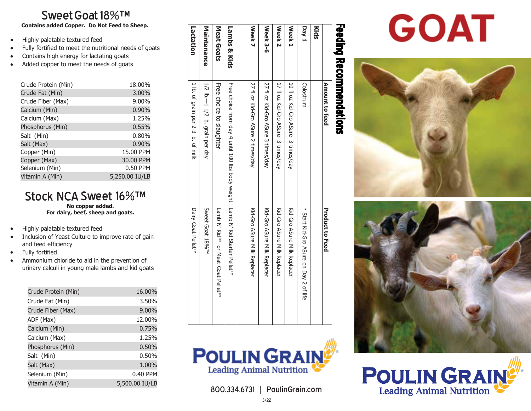# $\mathsf{Sweet}\mathsf{God}\,18\%$ ™

**Contains added Copper. Do Not Feed to Sheep. Contains added Copper. Do Not Feed to Sheep.** 

- $\bullet$ Highly palatable textured feed Highly palatable textured feed
- Fully fortified to meet the nutritional needs of goats Fully fortified to meet the nutritional needs of goats
- Contains high energy for lactating goats Contains high energy for lactating goats
- $\bullet$ Added copper to meet the needs of goats Added copper to meet the needs of goats

| Crude Protein (Min) | 18.00%         |
|---------------------|----------------|
| Crude Fat (Min)     | 3.00%          |
| Crude Fiber (Max)   | 9.00%          |
| Calcium (Min)       | 0.90%          |
| Calcium (Max)       | 1.25%          |
| Phosphorus (Min)    | 0.55%          |
| Salt (Min)          | 0.80%          |
| Salt (Max)          | 0.90%          |
| Copper (Min)        | 15.00 PPM      |
| Copper (Max)        | 30.00 PPM      |
| Selenium (Min)      | 0.50 PPM       |
| Vitamin A (Min)     | 5,250.00 IU/LB |

### Stock NCA Sweet 16%™ **No copper added. For dairy, beef, sheep and goats. No copper added. State INCA SWEET IO 70**<br>No copper added.

- Highly palatable textured feed  $\bullet$
- $\bullet$ Inclusion of Yeast Culture to improve rate of gain and feed efficiency
- Fully fortified
- $\bullet$ Ammonium chloride to aid in the prevention of urinary calculi in young male lambs and kid goats

| Crude Protein (Min) | 16.00%         |
|---------------------|----------------|
| Crude Fat (Min)     | 3.50%          |
| Crude Fiber (Max)   | 9.00%          |
| ADF (Max)           | 12.00%         |
| Calcium (Min)       | 0.75%          |
| Calcium (Max)       | 1.25%          |
| Phosphorus (Min)    | 0.50%          |
| Salt (Min)          | 0.50%          |
| Salt (Max)          | 1.00%          |
| Selenium (Min)      | 0.40 PPM       |
| Vitamin A (Min)     | 5,500.00 IU/LB |
|                     |                |

|                     | <b>Teeding Recommendations</b>                   |                                           |
|---------------------|--------------------------------------------------|-------------------------------------------|
|                     | <b>Amount to feed</b>                            | <b>Product to Feed</b>                    |
| Kids                |                                                  |                                           |
| Day 1               | Colostrum                                        | * Start Kid-Gro ASure on Day 2 of life    |
| <b>Week1</b>        | 10 fl oz Kid-Gro ASure- 3 times/day              | Kid-Gro ASure Milk Replacer               |
| Week 2              | 17 fl oz Kid-Gro ASure- 3 times/day              | Kid-Gro ASure Milk Replacer               |
| Week <sub>3-6</sub> | 27 fl oz Kid-Gro ASure 3 times/day               | Kid-Gro ASure Milk Replacer               |
| Week 7              | 27 fl oz Kid-Gro ASure 2 times/day               | Kid-Gro ASure Milk Replacer               |
| Lambs & Kids        | Free choice from day 4 until 100 lbs body weight | Lamb N' Kid Statter Pellet <sup>rix</sup> |
| Meat Goats          | Free choice to slaughter                         | Lamb N, Kidr's or Meat Goat Pellet's      |
| Maintenance         | $1/2$ Ib. $-1$ 1/2 Ib. grain per day             | Sweet Goat 18% <sup>TM</sup>              |
| Lactation           | 1 lb. of grain per 2-3 lb. of milk               | Dairy Goat Pellet <sup>™</sup>            |



800 334 6731 L PoulinGrain.com  $\frac{1}{3/22}$ 800-334-6731 800.334.6731 | PoulinGrain.com

## $3/22$